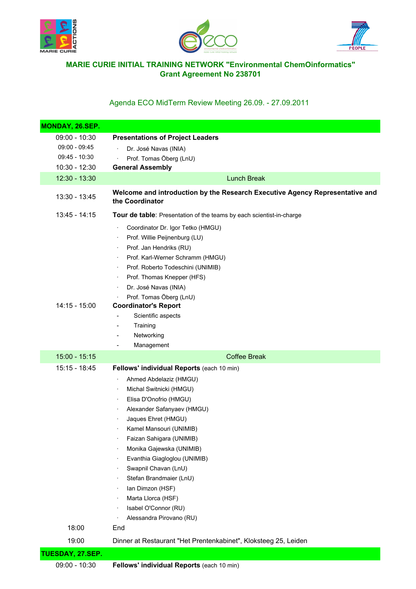





## **MARIE CURIE INITIAL TRAINING NETWORK "Environmental ChemOinformatics" Grant Agreement No 238701**

## Agenda ECO MidTerm Review Meeting 26.09. - 27.09.2011

| MONDAY, 26.SEP.  |                                                                                                                                                                                                                                                                                                                                                                                                                             |
|------------------|-----------------------------------------------------------------------------------------------------------------------------------------------------------------------------------------------------------------------------------------------------------------------------------------------------------------------------------------------------------------------------------------------------------------------------|
| $09:00 - 10:30$  | <b>Presentations of Project Leaders</b>                                                                                                                                                                                                                                                                                                                                                                                     |
| $09:00 - 09:45$  | Dr. José Navas (INIA)                                                                                                                                                                                                                                                                                                                                                                                                       |
| $09:45 - 10:30$  | Prof. Tomas Öberg (LnU)                                                                                                                                                                                                                                                                                                                                                                                                     |
| 10:30 - 12:30    | <b>General Assembly</b>                                                                                                                                                                                                                                                                                                                                                                                                     |
| 12:30 - 13:30    | <b>Lunch Break</b>                                                                                                                                                                                                                                                                                                                                                                                                          |
| 13:30 - 13:45    | Welcome and introduction by the Research Executive Agency Representative and<br>the Coordinator                                                                                                                                                                                                                                                                                                                             |
| 13:45 - 14:15    | Tour de table: Presentation of the teams by each scientist-in-charge                                                                                                                                                                                                                                                                                                                                                        |
| $14:15 - 15:00$  | Coordinator Dr. Igor Tetko (HMGU)<br>Prof. Willie Peijnenburg (LU)<br>$\blacksquare$<br>Prof. Jan Hendriks (RU)<br>٠<br>Prof. Karl-Werner Schramm (HMGU)<br>Prof. Roberto Todeschini (UNIMIB)<br>$\bullet$<br>Prof. Thomas Knepper (HFS)<br>٠<br>Dr. José Navas (INIA)<br>۰<br>Prof. Tomas Öberg (LnU)<br><b>Coordinator's Report</b><br>Scientific aspects<br>Training<br>$\overline{a}$                                   |
|                  | Networking<br>-<br>Management                                                                                                                                                                                                                                                                                                                                                                                               |
| $15:00 - 15:15$  | -<br><b>Coffee Break</b>                                                                                                                                                                                                                                                                                                                                                                                                    |
| 15:15 - 18:45    | Fellows' individual Reports (each 10 min)                                                                                                                                                                                                                                                                                                                                                                                   |
|                  | Ahmed Abdelaziz (HMGU)<br>Michal Switnicki (HMGU)<br>$\bullet$<br>Elisa D'Onofrio (HMGU)<br>٠<br>Alexander Safanyaev (HMGU)<br>٠<br>Jaques Ehret (HMGU)<br>Kamel Mansouri (UNIMIB)<br>Faizan Sahigara (UNIMIB)<br>Monika Gajewska (UNIMIB)<br>Evanthia Giagloglou (UNIMIB)<br>Swapnil Chavan (LnU)<br>Stefan Brandmaier (LnU)<br>Ian Dimzon (HSF)<br>Marta Llorca (HSF)<br>Isabel O'Connor (RU)<br>Alessandra Pirovano (RU) |
| 18:00            | End                                                                                                                                                                                                                                                                                                                                                                                                                         |
| 19:00            | Dinner at Restaurant "Het Prentenkabinet", Kloksteeg 25, Leiden                                                                                                                                                                                                                                                                                                                                                             |
| TUESDAY, 27.SEP. |                                                                                                                                                                                                                                                                                                                                                                                                                             |
| 09:00 - 10:30    | Fellows' individual Reports (each 10 min)                                                                                                                                                                                                                                                                                                                                                                                   |